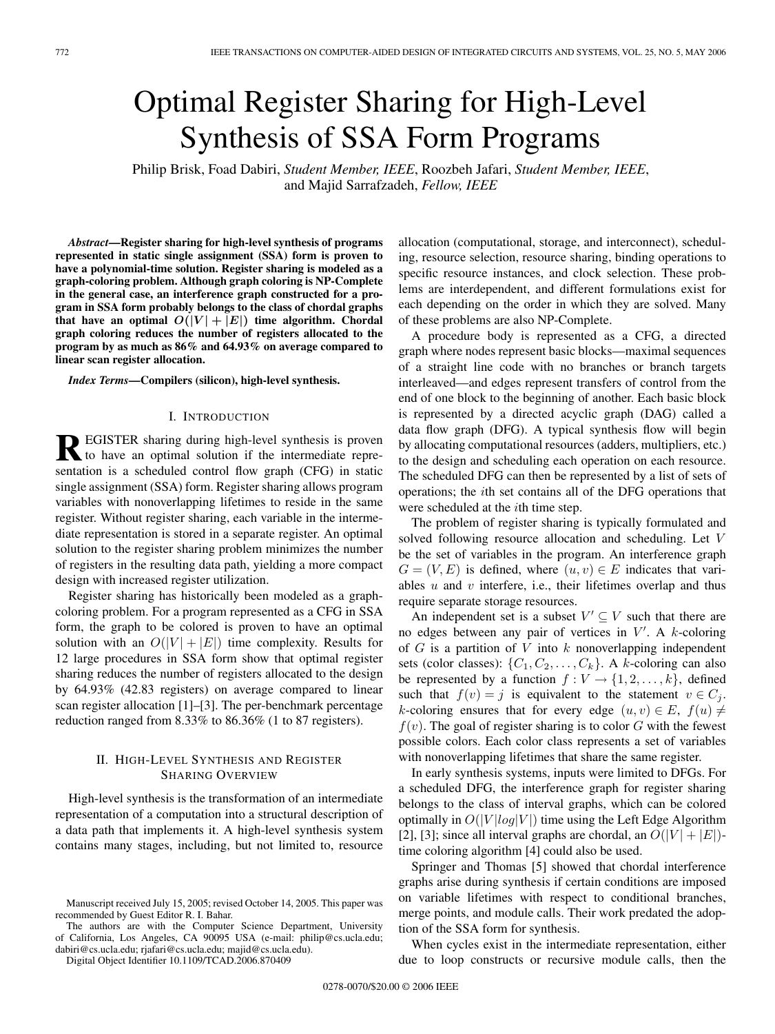# Optimal Register Sharing for High-Level Synthesis of SSA Form Programs

Philip Brisk, Foad Dabiri, *Student Member, IEEE*, Roozbeh Jafari, *Student Member, IEEE*, and Majid Sarrafzadeh, *Fellow, IEEE*

*Abstract***—Register sharing for high-level synthesis of programs represented in static single assignment (SSA) form is proven to have a polynomial-time solution. Register sharing is modeled as a graph-coloring problem. Although graph coloring is NP-Complete in the general case, an interference graph constructed for a program in SSA form probably belongs to the class of chordal graphs that have an optimal**  $O(|V| + |E|)$  **time algorithm.** Chordal **graph coloring reduces the number of registers allocated to the program by as much as 86% and 64.93% on average compared to linear scan register allocation.**

*Index Terms***—Compilers (silicon), high-level synthesis.**

## I. INTRODUCTION

**REGISTER** sharing during high-level synthesis is proven to have an optimal solution if the intermediate representation is a scheduled control flow graph (CFG) in static single assignment (SSA) form. Register sharing allows program variables with nonoverlapping lifetimes to reside in the same register. Without register sharing, each variable in the intermediate representation is stored in a separate register. An optimal solution to the register sharing problem minimizes the number of registers in the resulting data path, yielding a more compact design with increased register utilization.

Register sharing has historically been modeled as a graphcoloring problem. For a program represented as a CFG in SSA form, the graph to be colored is proven to have an optimal solution with an  $O(|V| + |E|)$  time complexity. Results for 12 large procedures in SSA form show that optimal register sharing reduces the number of registers allocated to the design by 64.93% (42.83 registers) on average compared to linear scan register allocation [1]–[3]. The per-benchmark percentage reduction ranged from 8.33% to 86.36% (1 to 87 registers).

# II. HIGH-LEVEL SYNTHESIS AND REGISTER SHARING OVERVIEW

High-level synthesis is the transformation of an intermediate representation of a computation into a structural description of a data path that implements it. A high-level synthesis system contains many stages, including, but not limited to, resource

The authors are with the Computer Science Department, University of California, Los Angeles, CA 90095 USA (e-mail: philip@cs.ucla.edu; dabiri@cs.ucla.edu; rjafari@cs.ucla.edu; majid@cs.ucla.edu).

Digital Object Identifier 10.1109/TCAD.2006.870409

allocation (computational, storage, and interconnect), scheduling, resource selection, resource sharing, binding operations to specific resource instances, and clock selection. These problems are interdependent, and different formulations exist for each depending on the order in which they are solved. Many of these problems are also NP-Complete.

A procedure body is represented as a CFG, a directed graph where nodes represent basic blocks—maximal sequences of a straight line code with no branches or branch targets interleaved—and edges represent transfers of control from the end of one block to the beginning of another. Each basic block is represented by a directed acyclic graph (DAG) called a data flow graph (DFG). A typical synthesis flow will begin by allocating computational resources (adders, multipliers, etc.) to the design and scheduling each operation on each resource. The scheduled DFG can then be represented by a list of sets of operations; the ith set contains all of the DFG operations that were scheduled at the *i*th time step.

The problem of register sharing is typically formulated and solved following resource allocation and scheduling. Let V be the set of variables in the program. An interference graph  $G = (V, E)$  is defined, where  $(u, v) \in E$  indicates that variables  $u$  and  $v$  interfere, i.e., their lifetimes overlap and thus require separate storage resources.

An independent set is a subset  $V' \subseteq V$  such that there are no edges between any pair of vertices in  $V'$ . A k-coloring<br>of  $G$  is a partition of  $V$  into k popoverlapping independent of  $G$  is a partition of  $V$  into  $k$  nonoverlapping independent sets (color classes):  $\{C_1, C_2, \ldots, C_k\}$ . A k-coloring can also be represented by a function  $f: V \to \{1, 2, \ldots, k\}$ , defined such that  $f(v) = j$  is equivalent to the statement  $v \in C_j$ . k-coloring ensures that for every edge  $(u, v) \in E$ ,  $f(u) \neq$  $f(v)$ . The goal of register sharing is to color G with the fewest possible colors. Each color class represents a set of variables with nonoverlapping lifetimes that share the same register.

In early synthesis systems, inputs were limited to DFGs. For a scheduled DFG, the interference graph for register sharing belongs to the class of interval graphs, which can be colored optimally in  $O(|V|log|V|)$  time using the Left Edge Algorithm [2], [3]; since all interval graphs are chordal, an  $O(|V| + |E|)$ time coloring algorithm [4] could also be used.

Springer and Thomas [5] showed that chordal interference graphs arise during synthesis if certain conditions are imposed on variable lifetimes with respect to conditional branches, merge points, and module calls. Their work predated the adoption of the SSA form for synthesis.

When cycles exist in the intermediate representation, either due to loop constructs or recursive module calls, then the

Manuscript received July 15, 2005; revised October 14, 2005. This paper was recommended by Guest Editor R. I. Bahar.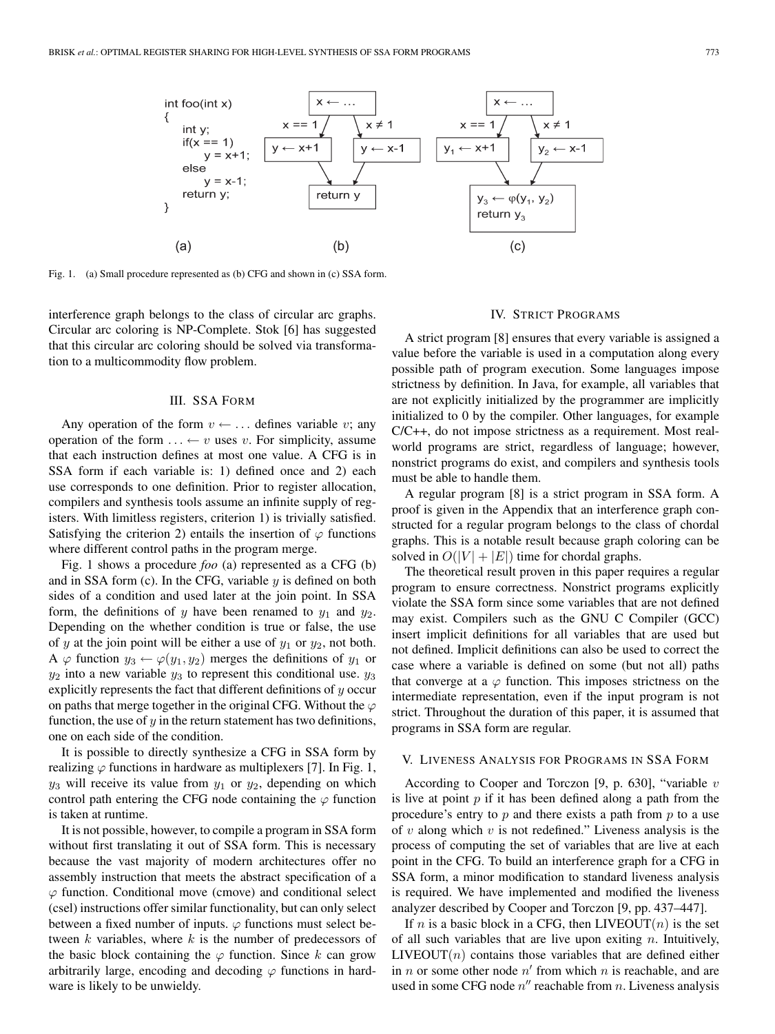

Fig. 1. (a) Small procedure represented as (b) CFG and shown in (c) SSA form.

interference graph belongs to the class of circular arc graphs. Circular arc coloring is NP-Complete. Stok [6] has suggested that this circular arc coloring should be solved via transformation to a multicommodity flow problem.

# III. SSA FORM

Any operation of the form  $v \leftarrow \dots$  defines variable v; any operation of the form  $\dots \leftarrow v$  uses v. For simplicity, assume that each instruction defines at most one value. A CFG is in SSA form if each variable is: 1) defined once and 2) each use corresponds to one definition. Prior to register allocation, compilers and synthesis tools assume an infinite supply of registers. With limitless registers, criterion 1) is trivially satisfied. Satisfying the criterion 2) entails the insertion of  $\varphi$  functions where different control paths in the program merge.

Fig. 1 shows a procedure *foo* (a) represented as a CFG (b) and in SSA form (c). In the CFG, variable  $y$  is defined on both sides of a condition and used later at the join point. In SSA form, the definitions of y have been renamed to  $y_1$  and  $y_2$ . Depending on the whether condition is true or false, the use of y at the join point will be either a use of  $y_1$  or  $y_2$ , not both. A  $\varphi$  function  $y_3 \leftarrow \varphi(y_1, y_2)$  merges the definitions of  $y_1$  or  $y_2$  into a new variable  $y_3$  to represent this conditional use.  $y_3$ explicitly represents the fact that different definitions of  $y$  occur on paths that merge together in the original CFG. Without the  $\varphi$ function, the use of  $y$  in the return statement has two definitions, one on each side of the condition.

It is possible to directly synthesize a CFG in SSA form by realizing  $\varphi$  functions in hardware as multiplexers [7]. In Fig. 1,  $y_3$  will receive its value from  $y_1$  or  $y_2$ , depending on which control path entering the CFG node containing the  $\varphi$  function is taken at runtime.

It is not possible, however, to compile a program in SSA form without first translating it out of SSA form. This is necessary because the vast majority of modern architectures offer no assembly instruction that meets the abstract specification of a  $\varphi$  function. Conditional move (cmove) and conditional select (csel) instructions offer similar functionality, but can only select between a fixed number of inputs.  $\varphi$  functions must select between  $k$  variables, where  $k$  is the number of predecessors of the basic block containing the  $\varphi$  function. Since k can grow arbitrarily large, encoding and decoding  $\varphi$  functions in hardware is likely to be unwieldy.

#### IV. STRICT PROGRAMS

A strict program [8] ensures that every variable is assigned a value before the variable is used in a computation along every possible path of program execution. Some languages impose strictness by definition. In Java, for example, all variables that are not explicitly initialized by the programmer are implicitly initialized to 0 by the compiler. Other languages, for example C/C++, do not impose strictness as a requirement. Most realworld programs are strict, regardless of language; however, nonstrict programs do exist, and compilers and synthesis tools must be able to handle them.

A regular program [8] is a strict program in SSA form. A proof is given in the Appendix that an interference graph constructed for a regular program belongs to the class of chordal graphs. This is a notable result because graph coloring can be solved in  $O(|V| + |E|)$  time for chordal graphs.

The theoretical result proven in this paper requires a regular program to ensure correctness. Nonstrict programs explicitly violate the SSA form since some variables that are not defined may exist. Compilers such as the GNU C Compiler (GCC) insert implicit definitions for all variables that are used but not defined. Implicit definitions can also be used to correct the case where a variable is defined on some (but not all) paths that converge at a  $\varphi$  function. This imposes strictness on the intermediate representation, even if the input program is not strict. Throughout the duration of this paper, it is assumed that programs in SSA form are regular.

## V. LIVENESS ANALYSIS FOR PROGRAMS IN SSA FORM

According to Cooper and Torczon [9, p. 630], "variable  $v$ is live at point  $p$  if it has been defined along a path from the procedure's entry to  $p$  and there exists a path from  $p$  to a use of v along which v is not redefined." Liveness analysis is the process of computing the set of variables that are live at each point in the CFG. To build an interference graph for a CFG in SSA form, a minor modification to standard liveness analysis is required. We have implemented and modified the liveness analyzer described by Cooper and Torczon [9, pp. 437–447].

If *n* is a basic block in a CFG, then LIVEOUT $(n)$  is the set of all such variables that are live upon exiting  $n$ . Intuitively,  $LIVEOUT(n)$  contains those variables that are defined either in n or some other node  $n'$  from which n is reachable, and are used in some CFG node  $n''$  reachable from n. Liveness analysis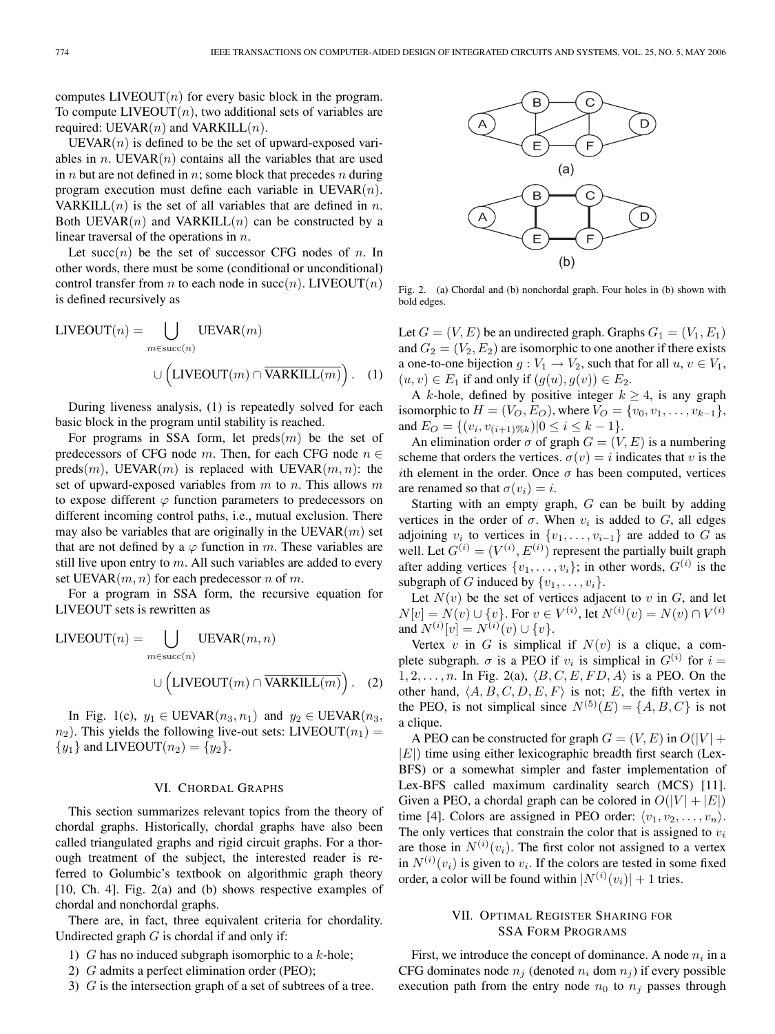computes  $LIVEOUT(n)$  for every basic block in the program. To compute  $LIVEOUT(n)$ , two additional sets of variables are required: UEVAR $(n)$  and VARKILL $(n)$ .

 $UEVAR(n)$  is defined to be the set of upward-exposed variables in *n*. UEVAR $(n)$  contains all the variables that are used in  $n$  but are not defined in  $n$ ; some block that precedes  $n$  during program execution must define each variable in  $UEVAR(n)$ . VARKILL $(n)$  is the set of all variables that are defined in n. Both UEVAR $(n)$  and VARKILL $(n)$  can be constructed by a linear traversal of the operations in n.

Let succ $(n)$  be the set of successor CFG nodes of n. In other words, there must be some (conditional or unconditional) control transfer from *n* to each node in succ(*n*). LIVEOUT(*n*) is defined recursively as

LIVEOUT(*n*) = 
$$
\bigcup_{m \in succ(n)} \text{UEVAR}(m)
$$

$$
\cup \left( \text{LIVEOUT}(m) \cap \overline{\text{VARKILL}(m)} \right). \quad (1)
$$

During liveness analysis, (1) is repeatedly solved for each basic block in the program until stability is reached.

For programs in SSA form, let  $\text{preds}(m)$  be the set of predecessors of CFG node m. Then, for each CFG node  $n \in$  $\text{preds}(m)$ , UEVAR $(m)$  is replaced with UEVAR $(m, n)$ : the set of upward-exposed variables from  $m$  to  $n$ . This allows  $m$ to expose different  $\varphi$  function parameters to predecessors on different incoming control paths, i.e., mutual exclusion. There may also be variables that are originally in the UEVAR $(m)$  set that are not defined by a  $\varphi$  function in m. These variables are still live upon entry to  $m$ . All such variables are added to every set UEVAR $(m, n)$  for each predecessor n of m.

For a program in SSA form, the recursive equation for LIVEOUT sets is rewritten as

LIVEOUT(*n*) = 
$$
\bigcup_{m \in succ(n)} \text{UEVAR}(m, n)
$$

$$
\cup \left( \text{LIVEOUT}(m) \cap \overline{\text{VARKILL}(m)} \right). \quad (2)
$$

In Fig. 1(c),  $y_1 \in \text{UEVAR}(n_3, n_1)$  and  $y_2 \in \text{UEVAR}(n_3, n_2)$  $n_2$ ). This yields the following live-out sets: LIVEOUT $(n_1)$  =  ${y_1}$  and LIVEOUT $(n_2) = {y_2}$ .

#### VI. CHORDAL GRAPHS

This section summarizes relevant topics from the theory of chordal graphs. Historically, chordal graphs have also been called triangulated graphs and rigid circuit graphs. For a thorough treatment of the subject, the interested reader is referred to Golumbic's textbook on algorithmic graph theory [10, Ch. 4]. Fig. 2(a) and (b) shows respective examples of chordal and nonchordal graphs.

There are, in fact, three equivalent criteria for chordality. Undirected graph  $G$  is chordal if and only if:

- 1)  $G$  has no induced subgraph isomorphic to a  $k$ -hole;
- 2) G admits a perfect elimination order (PEO);
- 3) G is the intersection graph of a set of subtrees of a tree.



Fig. 2. (a) Chordal and (b) nonchordal graph. Four holes in (b) shown with bold edges.

Let  $G = (V, E)$  be an undirected graph. Graphs  $G_1 = (V_1, E_1)$ and  $G_2 = (V_2, E_2)$  are isomorphic to one another if there exists a one-to-one bijection  $g: V_1 \to V_2$ , such that for all  $u, v \in V_1$ ,  $(u, v) \in E_1$  if and only if  $(g(u), g(v)) \in E_2$ .

A k-hole, defined by positive integer  $k \geq 4$ , is any graph isomorphic to  $H = (V_O, E_O)$ , where  $V_O = \{v_0, v_1, \ldots, v_{k-1}\},$ and  $E_O = \{(v_i, v_{(i+1)\%k}) | 0 \le i \le k-1 \}.$ 

An elimination order  $\sigma$  of graph  $G = (V, E)$  is a numbering scheme that orders the vertices.  $\sigma(v) = i$  indicates that v is the ith element in the order. Once  $\sigma$  has been computed, vertices are renamed so that  $\sigma(v_i) = i$ .

Starting with an empty graph, G can be built by adding vertices in the order of  $\sigma$ . When  $v_i$  is added to G, all edges adjoining  $v_i$  to vertices in  $\{v_1, \ldots, v_{i-1}\}$  are added to G as well. Let  $G^{(i)} = (V^{(i)}, E^{(i)})$  represent the partially built graph after adding vertices  $\{v_1, \ldots, v_i\}$ ; in other words,  $G^{(i)}$  is the subgraph of G induced by  $\{v_1, \ldots, v_i\}$ .

Let  $N(v)$  be the set of vertices adjacent to v in G, and let  $N[v] = N(v) \cup \{v\}$ . For  $v \in V^{(i)}$ , let  $N^{(i)}(v) = N(v) \cap V^{(i)}$ <br>and  $N^{(i)}[v] = N^{(i)}(v) + I_{v}$ and  $N^{(i)}[v] = N^{(i)}(v) \cup \{v\}.$ <br>Vertex *y* in *G* is simplically

Vertex  $v$  in  $G$  is simplical if  $N(v)$  is a clique, a complete subgraph.  $\sigma$  is a PEO if  $v_i$  is simplical in  $G^{(i)}$  for  $i =$  $1, 2, \ldots, n$ . In Fig. 2(a),  $\langle B, C, E, FD, A \rangle$  is a PEO. On the other hand,  $\langle A, B, C, D, E, F \rangle$  is not; E, the fifth vertex in the PEO, is not simplical since  $N^{(5)}(E) = \{A, B, C\}$  is not a clique.

A PEO can be constructed for graph  $G = (V, E)$  in  $O(|V| +$  $|E|$ ) time using either lexicographic breadth first search (Lex-BFS) or a somewhat simpler and faster implementation of Lex-BFS called maximum cardinality search (MCS) [11]. Given a PEO, a chordal graph can be colored in  $O(|V| + |E|)$ time [4]. Colors are assigned in PEO order:  $\langle v_1, v_2, \ldots, v_n \rangle$ . The only vertices that constrain the color that is assigned to  $v_i$ are those in  $N^{(i)}(v_i)$ . The first color not assigned to a vertex<br>in  $N^{(i)}(v_i)$  is given to  $v_i$ . If the colors are tested in some fixed in  $N^{(i)}(v_i)$  is given to  $v_i$ . If the colors are tested in some fixed order a color will be found within  $|N^{(i)}(v_1)| + 1$  tries order, a color will be found within  $|N^{(i)}(v_i)| + 1$  tries.

# VII. OPTIMAL REGISTER SHARING FOR SSA FORM PROGRAMS

First, we introduce the concept of dominance. A node  $n_i$  in a CFG dominates node  $n_i$  (denoted  $n_i$  dom  $n_j$ ) if every possible execution path from the entry node  $n_0$  to  $n_j$  passes through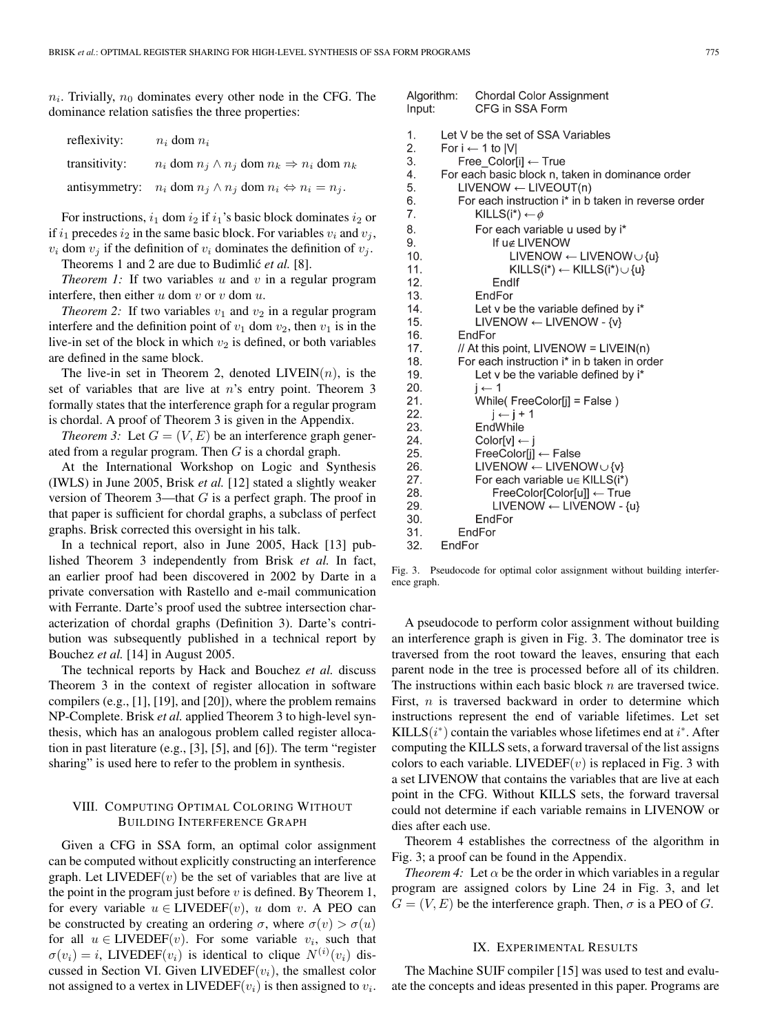$n_i$ . Trivially,  $n_0$  dominates every other node in the CFG. The dominance relation satisfies the three properties:

| reflexivity:  | $n_i$ dom $n_i$                                                                |
|---------------|--------------------------------------------------------------------------------|
| transitivity: | $n_i$ dom $n_j \wedge n_j$ dom $n_k \Rightarrow n_i$ dom $n_k$                 |
|               | antisymmetry: $n_i$ dom $n_i \wedge n_j$ dom $n_i \Leftrightarrow n_i = n_j$ . |

For instructions,  $i_1$  dom  $i_2$  if  $i_1$ 's basic block dominates  $i_2$  or if  $i_1$  precedes  $i_2$  in the same basic block. For variables  $v_i$  and  $v_j$ ,  $v_i$  dom  $v_j$  if the definition of  $v_i$  dominates the definition of  $v_j$ .

Theorems 1 and 2 are due to Budimlić *et al.* [8].

*Theorem 1:* If two variables  $u$  and  $v$  in a regular program interfere, then either  $u$  dom  $v$  or  $v$  dom  $u$ .

*Theorem 2:* If two variables  $v_1$  and  $v_2$  in a regular program interfere and the definition point of  $v_1$  dom  $v_2$ , then  $v_1$  is in the live-in set of the block in which  $v_2$  is defined, or both variables are defined in the same block.

The live-in set in Theorem 2, denoted  $LIVEIN(n)$ , is the set of variables that are live at  $n$ 's entry point. Theorem 3 formally states that the interference graph for a regular program is chordal. A proof of Theorem 3 is given in the Appendix.

*Theorem 3:* Let  $G = (V, E)$  be an interference graph generated from a regular program. Then  $G$  is a chordal graph.

At the International Workshop on Logic and Synthesis (IWLS) in June 2005, Brisk *et al.* [12] stated a slightly weaker version of Theorem 3—that  $G$  is a perfect graph. The proof in that paper is sufficient for chordal graphs, a subclass of perfect graphs. Brisk corrected this oversight in his talk.

In a technical report, also in June 2005, Hack [13] published Theorem 3 independently from Brisk *et al.* In fact, an earlier proof had been discovered in 2002 by Darte in a private conversation with Rastello and e-mail communication with Ferrante. Darte's proof used the subtree intersection characterization of chordal graphs (Definition 3). Darte's contribution was subsequently published in a technical report by Bouchez *et al.* [14] in August 2005.

The technical reports by Hack and Bouchez *et al.* discuss Theorem 3 in the context of register allocation in software compilers (e.g., [1], [19], and [20]), where the problem remains NP-Complete. Brisk *et al.* applied Theorem 3 to high-level synthesis, which has an analogous problem called register allocation in past literature (e.g., [3], [5], and [6]). The term "register sharing" is used here to refer to the problem in synthesis.

# VIII. COMPUTING OPTIMAL COLORING WITHOUT BUILDING INTERFERENCE GRAPH

Given a CFG in SSA form, an optimal color assignment can be computed without explicitly constructing an interference graph. Let  $LIVEDEF(v)$  be the set of variables that are live at the point in the program just before  $v$  is defined. By Theorem 1, for every variable  $u \in LIVEDEF(v)$ , u dom v. A PEO can be constructed by creating an ordering  $\sigma$ , where  $\sigma(v) > \sigma(u)$ for all  $u \in LIVEDEF(v)$ . For some variable  $v_i$ , such that  $\sigma(v_i) = i$ , LIVEDEF $(v_i)$  is identical to clique  $N^{(i)}(v_i)$  discussed in Section VI Given LIVEDEF $(v_i)$ , the smallest color cussed in Section VI. Given LIVEDEF $(v_i)$ , the smallest color not assigned to a vertex in LIVEDEF( $v_i$ ) is then assigned to  $v_i$ .

| Input:     | Algorithm: Chordal Color Assignment<br>CFG in SSA Form                                 |
|------------|----------------------------------------------------------------------------------------|
| 1.         | Let V be the set of SSA Variables                                                      |
| 2.         | For $i \leftarrow 1$ to $ V $                                                          |
| 3.         | Free Color[i] ← True                                                                   |
| 4.         | For each basic block n, taken in dominance order                                       |
| 5.         | $LIVENOW \leftarrow LIVEOUT(n)$                                                        |
| 6.         | For each instruction i* in b taken in reverse order                                    |
| 7.         | KILLS(i*) $\leftarrow \phi$                                                            |
| 8.         | For each variable u used by i*                                                         |
| 9.         | If u∉ LIVENOW                                                                          |
| 10.        | $LIVENOW \leftarrow LIVENOW \cup \{u\}$                                                |
| 11.        | $KILLS(i^*) \leftarrow KILLS(i^*) \cup \{u\}$                                          |
| 12.        | Endlf                                                                                  |
| 13.        | EndFor                                                                                 |
| 14.        | Let v be the variable defined by i*                                                    |
| 15.        | $LIVENOW \leftarrow LIVENOW - \{v\}$                                                   |
| 16.        | EndFor                                                                                 |
| 17.<br>18. | // At this point, $LIVENOW = LIVEIN(n)$<br>For each instruction i* in b taken in order |
| 19.        |                                                                                        |
| 20.        | Let v be the variable defined by i*<br>$i \leftarrow 1$                                |
| 21.        | While(FreeColor[j] = False)                                                            |
| 22.        | $j \leftarrow j + 1$                                                                   |
| 23.        | EndWhile                                                                               |
| 24.        | $Color[v] \leftarrow j$                                                                |
| 25.        | FreeColor[i] ← False                                                                   |
| 26.        | LIVENOW $\leftarrow$ LIVENOW $\cup$ {v}                                                |
| 27.        | For each variable $u \in KILLS(i^*)$                                                   |
| 28.        | FreeColor[Color[u]] ← True                                                             |
| 29.        | LIVENOW $\leftarrow$ LIVENOW - {u}                                                     |
| 30.        | EndFor                                                                                 |
| 31.        | EndFor                                                                                 |
| 32.        | EndFor                                                                                 |

Fig. 3. Pseudocode for optimal color assignment without building interference graph.

A pseudocode to perform color assignment without building an interference graph is given in Fig. 3. The dominator tree is traversed from the root toward the leaves, ensuring that each parent node in the tree is processed before all of its children. The instructions within each basic block  $n$  are traversed twice. First, *n* is traversed backward in order to determine which instructions represent the end of variable lifetimes. Let set KILLS( $i^*$ ) contain the variables whose lifetimes end at  $i^*$ . After<br>computing the KILLS sets, a forward traversal of the list assigns computing the KILLS sets, a forward traversal of the list assigns colors to each variable. LIVEDEF $(v)$  is replaced in Fig. 3 with a set LIVENOW that contains the variables that are live at each point in the CFG. Without KILLS sets, the forward traversal could not determine if each variable remains in LIVENOW or dies after each use.

Theorem 4 establishes the correctness of the algorithm in Fig. 3; a proof can be found in the Appendix.

*Theorem 4:* Let  $\alpha$  be the order in which variables in a regular program are assigned colors by Line 24 in Fig. 3, and let  $G = (V, E)$  be the interference graph. Then,  $\sigma$  is a PEO of G.

# IX. EXPERIMENTAL RESULTS

The Machine SUIF compiler [15] was used to test and evaluate the concepts and ideas presented in this paper. Programs are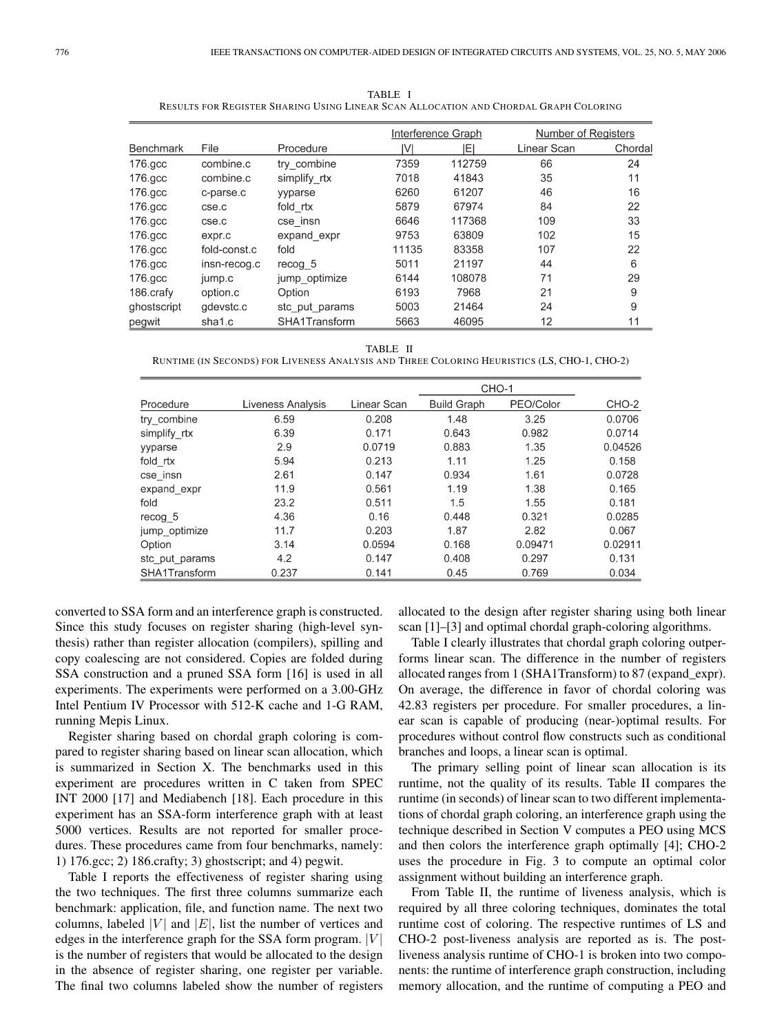|                  |              |                |       | Interference Graph | Number of Registers |         |
|------------------|--------------|----------------|-------|--------------------|---------------------|---------|
| <b>Benchmark</b> | File         | Procedure      | I۷Ι   | ΙEΙ                | Linear Scan         | Chordal |
| 176.gcc          | combine.c    | try combine    | 7359  | 112759             | 66                  | 24      |
| $176$ .gcc       | combine.c    | simplify rtx   | 7018  | 41843              | 35                  | 11      |
| $176$ .gcc       | c-parse.c    | yyparse        | 6260  | 61207              | 46                  | 16      |
| $176$ .gcc       | cse.c        | fold rtx       | 5879  | 67974              | 84                  | 22      |
| 176.gcc          | cse.c        | cse_insn       | 6646  | 117368             | 109                 | 33      |
| $176$ gcc        | expr.c       | expand expr    | 9753  | 63809              | 102                 | 15      |
| $176$ gcc        | fold-const.c | fold           | 11135 | 83358              | 107                 | 22      |
| $176$ .gcc       | insn-recog.c | recog 5        | 5011  | 21197              | 44                  | 6       |
| $176$ .gcc       | jump.c       | jump_optimize  | 6144  | 108078             | 71                  | 29      |
| 186 crafy        | option.c     | Option         | 6193  | 7968               | 21                  | 9       |
| ghostscript      | gdevstc.c    | stc put params | 5003  | 21464              | 24                  | 9       |
| pegwit           | sha1.c       | SHA1Transform  | 5663  | 46095              | 12                  | 11      |

TABLE I RESULTS FOR REGISTER SHARING USING LINEAR SCAN ALLOCATION AND CHORDAL GRAPH COLORING

TABLE II RUNTIME (IN SECONDS) FOR LIVENESS ANALYSIS AND THREE COLORING HEURISTICS (LS, CHO-1, CHO-2)

|                |                   |             | CHO-1              |           |         |
|----------------|-------------------|-------------|--------------------|-----------|---------|
| Procedure      | Liveness Analysis | Linear Scan | <b>Build Graph</b> | PEO/Color | CHO-2   |
| try combine    | 6.59              | 0.208       | 1.48               | 3.25      | 0.0706  |
| simplify rtx   | 6.39              | 0.171       | 0.643              | 0.982     | 0.0714  |
| yyparse        | 2.9               | 0.0719      | 0.883              | 1.35      | 0.04526 |
| fold rtx       | 5.94              | 0.213       | 1.11               | 1.25      | 0.158   |
| cse insn       | 2.61              | 0.147       | 0.934              | 1.61      | 0.0728  |
| expand expr    | 11.9              | 0.561       | 1.19               | 1.38      | 0.165   |
| fold           | 23.2              | 0.511       | 1.5                | 1.55      | 0.181   |
| recog 5        | 4.36              | 0.16        | 0.448              | 0.321     | 0.0285  |
| jump optimize  | 11.7              | 0.203       | 1.87               | 2.82      | 0.067   |
| Option         | 3.14              | 0.0594      | 0.168              | 0.09471   | 0.02911 |
| stc put params | 4.2               | 0.147       | 0.408              | 0.297     | 0.131   |
| SHA1Transform  | 0.237             | 0.141       | 0.45               | 0.769     | 0.034   |

converted to SSA form and an interference graph is constructed. Since this study focuses on register sharing (high-level synthesis) rather than register allocation (compilers), spilling and copy coalescing are not considered. Copies are folded during SSA construction and a pruned SSA form [16] is used in all experiments. The experiments were performed on a 3.00-GHz Intel Pentium IV Processor with 512-K cache and 1-G RAM, running Mepis Linux.

Register sharing based on chordal graph coloring is compared to register sharing based on linear scan allocation, which is summarized in Section X. The benchmarks used in this experiment are procedures written in C taken from SPEC INT 2000 [17] and Mediabench [18]. Each procedure in this experiment has an SSA-form interference graph with at least 5000 vertices. Results are not reported for smaller procedures. These procedures came from four benchmarks, namely: 1) 176.gcc; 2) 186.crafty; 3) ghostscript; and 4) pegwit.

Table I reports the effectiveness of register sharing using the two techniques. The first three columns summarize each benchmark: application, file, and function name. The next two columns, labeled |V| and  $|E|$ , list the number of vertices and edges in the interference graph for the SSA form program.  $|V|$ is the number of registers that would be allocated to the design in the absence of register sharing, one register per variable. The final two columns labeled show the number of registers allocated to the design after register sharing using both linear scan [1]–[3] and optimal chordal graph-coloring algorithms.

Table I clearly illustrates that chordal graph coloring outperforms linear scan. The difference in the number of registers allocated ranges from 1 (SHA1Transform) to 87 (expand\_expr). On average, the difference in favor of chordal coloring was 42.83 registers per procedure. For smaller procedures, a linear scan is capable of producing (near-)optimal results. For procedures without control flow constructs such as conditional branches and loops, a linear scan is optimal.

The primary selling point of linear scan allocation is its runtime, not the quality of its results. Table II compares the runtime (in seconds) of linear scan to two different implementations of chordal graph coloring, an interference graph using the technique described in Section V computes a PEO using MCS and then colors the interference graph optimally [4]; CHO-2 uses the procedure in Fig. 3 to compute an optimal color assignment without building an interference graph.

From Table II, the runtime of liveness analysis, which is required by all three coloring techniques, dominates the total runtime cost of coloring. The respective runtimes of LS and CHO-2 post-liveness analysis are reported as is. The postliveness analysis runtime of CHO-1 is broken into two components: the runtime of interference graph construction, including memory allocation, and the runtime of computing a PEO and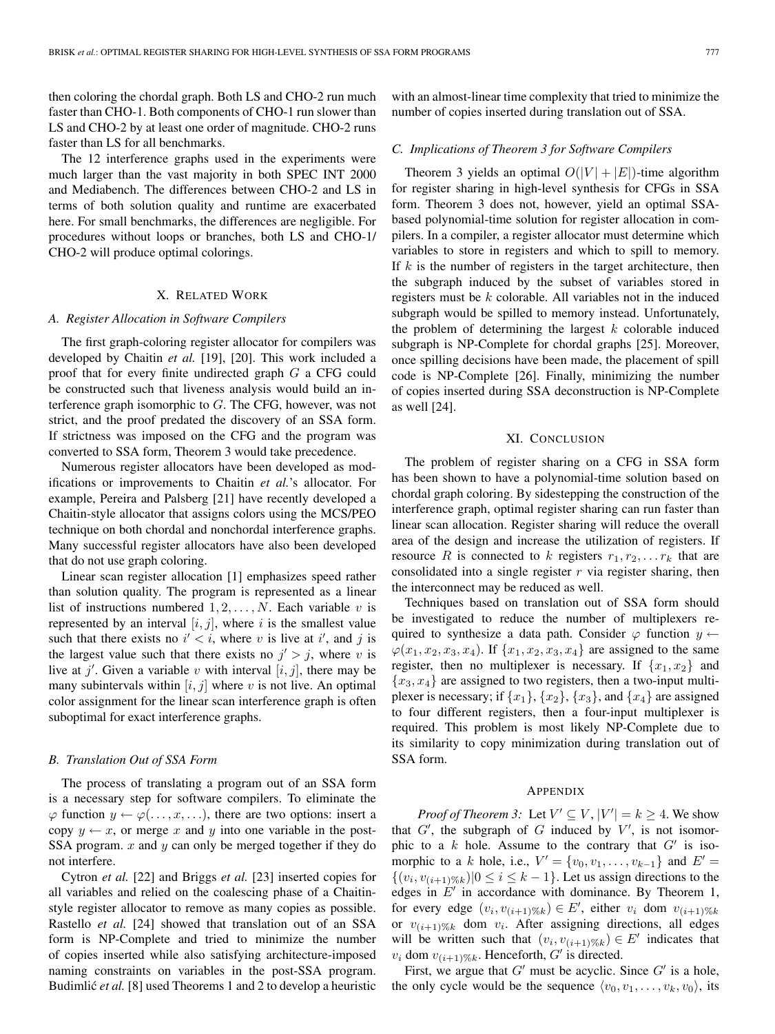then coloring the chordal graph. Both LS and CHO-2 run much faster than CHO-1. Both components of CHO-1 run slower than LS and CHO-2 by at least one order of magnitude. CHO-2 runs faster than LS for all benchmarks.

The 12 interference graphs used in the experiments were much larger than the vast majority in both SPEC INT 2000 and Mediabench. The differences between CHO-2 and LS in terms of both solution quality and runtime are exacerbated here. For small benchmarks, the differences are negligible. For procedures without loops or branches, both LS and CHO-1/ CHO-2 will produce optimal colorings.

## X. RELATED WORK

#### *A. Register Allocation in Software Compilers*

The first graph-coloring register allocator for compilers was developed by Chaitin *et al.* [19], [20]. This work included a proof that for every finite undirected graph G a CFG could be constructed such that liveness analysis would build an interference graph isomorphic to  $G$ . The CFG, however, was not strict, and the proof predated the discovery of an SSA form. If strictness was imposed on the CFG and the program was converted to SSA form, Theorem 3 would take precedence.

Numerous register allocators have been developed as modifications or improvements to Chaitin *et al.*'s allocator. For example, Pereira and Palsberg [21] have recently developed a Chaitin-style allocator that assigns colors using the MCS/PEO technique on both chordal and nonchordal interference graphs. Many successful register allocators have also been developed that do not use graph coloring.

Linear scan register allocation [1] emphasizes speed rather than solution quality. The program is represented as a linear list of instructions numbered  $1, 2, \ldots, N$ . Each variable v is represented by an interval  $[i, j]$ , where i is the smallest value such that there exists no  $i' < i$ , where v is live at i', and j is<br>the largest value such that there exists no  $i' > i$ , where v is the largest value such that there exists no  $j' > j$ , where v is live at j'. Given a variable v with interval  $[i, j]$ , there may be many subintervals within  $[i, j]$  where v is not live. An optimal many subintervals within  $[i, j]$  where v is not live. An optimal color assignment for the linear scan interference graph is often suboptimal for exact interference graphs.

#### *B. Translation Out of SSA Form*

The process of translating a program out of an SSA form is a necessary step for software compilers. To eliminate the  $\varphi$  function  $y \leftarrow \varphi(\ldots, x, \ldots)$ , there are two options: insert a copy  $y \leftarrow x$ , or merge x and y into one variable in the post-SSA program.  $x$  and  $y$  can only be merged together if they do not interfere.

Cytron *et al.* [22] and Briggs *et al.* [23] inserted copies for all variables and relied on the coalescing phase of a Chaitinstyle register allocator to remove as many copies as possible. Rastello *et al.* [24] showed that translation out of an SSA form is NP-Complete and tried to minimize the number of copies inserted while also satisfying architecture-imposed naming constraints on variables in the post-SSA program. Budimlic<sup> $et al.$ </sup> [8] used Theorems 1 and 2 to develop a heuristic with an almost-linear time complexity that tried to minimize the number of copies inserted during translation out of SSA.

## *C. Implicationsof Theorem 3 for Software Compilers*

Theorem 3 yields an optimal  $O(|V| + |E|)$ -time algorithm for register sharing in high-level synthesis for CFGs in SSA form. Theorem 3 does not, however, yield an optimal SSAbased polynomial-time solution for register allocation in compilers. In a compiler, a register allocator must determine which variables to store in registers and which to spill to memory. If  $k$  is the number of registers in the target architecture, then the subgraph induced by the subset of variables stored in registers must be  $k$  colorable. All variables not in the induced subgraph would be spilled to memory instead. Unfortunately, the problem of determining the largest  $k$  colorable induced subgraph is NP-Complete for chordal graphs [25]. Moreover, once spilling decisions have been made, the placement of spill code is NP-Complete [26]. Finally, minimizing the number of copies inserted during SSA deconstruction is NP-Complete as well [24].

#### XI. CONCLUSION

The problem of register sharing on a CFG in SSA form has been shown to have a polynomial-time solution based on chordal graph coloring. By sidestepping the construction of the interference graph, optimal register sharing can run faster than linear scan allocation. Register sharing will reduce the overall area of the design and increase the utilization of registers. If resource R is connected to k registers  $r_1, r_2, \ldots r_k$  that are consolidated into a single register  $r$  via register sharing, then the interconnect may be reduced as well.

Techniques based on translation out of SSA form should be investigated to reduce the number of multiplexers required to synthesize a data path. Consider  $\varphi$  function  $y \leftarrow$  $\varphi(x_1, x_2, x_3, x_4)$ . If  $\{x_1, x_2, x_3, x_4\}$  are assigned to the same register, then no multiplexer is necessary. If  $\{x_1, x_2\}$  and  ${x_3, x_4}$  are assigned to two registers, then a two-input multiplexer is necessary; if  $\{x_1\}$ ,  $\{x_2\}$ ,  $\{x_3\}$ , and  $\{x_4\}$  are assigned to four different registers, then a four-input multiplexer is required. This problem is most likely NP-Complete due to its similarity to copy minimization during translation out of SSA form.

## **APPENDIX**

*Proof of Theorem 3:* Let  $V' \subseteq V$ ,  $|V'| = k \ge 4$ . We show  $G'$  the subgraph of G induced by  $V'$  is not isomorthat  $G'$ , the subgraph of G induced by  $V'$ , is not isomor-<br>which a k hole. Assume to the contrary that  $G'$  is isophic to a  $k$  hole. Assume to the contrary that  $G'$  is isomorphic to a k hole, i.e.,  $V' = \{v_0, v_1, \dots, v_{k-1}\}\$ and  $E' =$  $\{(v_i, v_{(i+1)\%k})|0 \le i \le k-1\}$ . Let us assign directions to the edges in  $E'$  in accordance with dominance. By Theorem 1, for every edge  $(v_i, v_{(i+1)\%k}) \in E'$ , either  $v_i$  dom  $v_{(i+1)\%k}$ <br>or  $v_{(i+1)\%k}$  dom v. After assigning directions all edges or  $v_{(i+1)\%k}$  dom  $v_i$ . After assigning directions, all edges will be written such that  $(v_i, v_{(i+1)\%k}) \in E'$  indicates that  $v_i$  dom  $v_{(i+1)\%k}$ . Henceforth, G' is directed.

First, we argue that  $G'$  must be acyclic. Since  $G'$  is a hole, the only cycle would be the sequence  $\langle v_0, v_1, \ldots, v_k, v_0 \rangle$ , its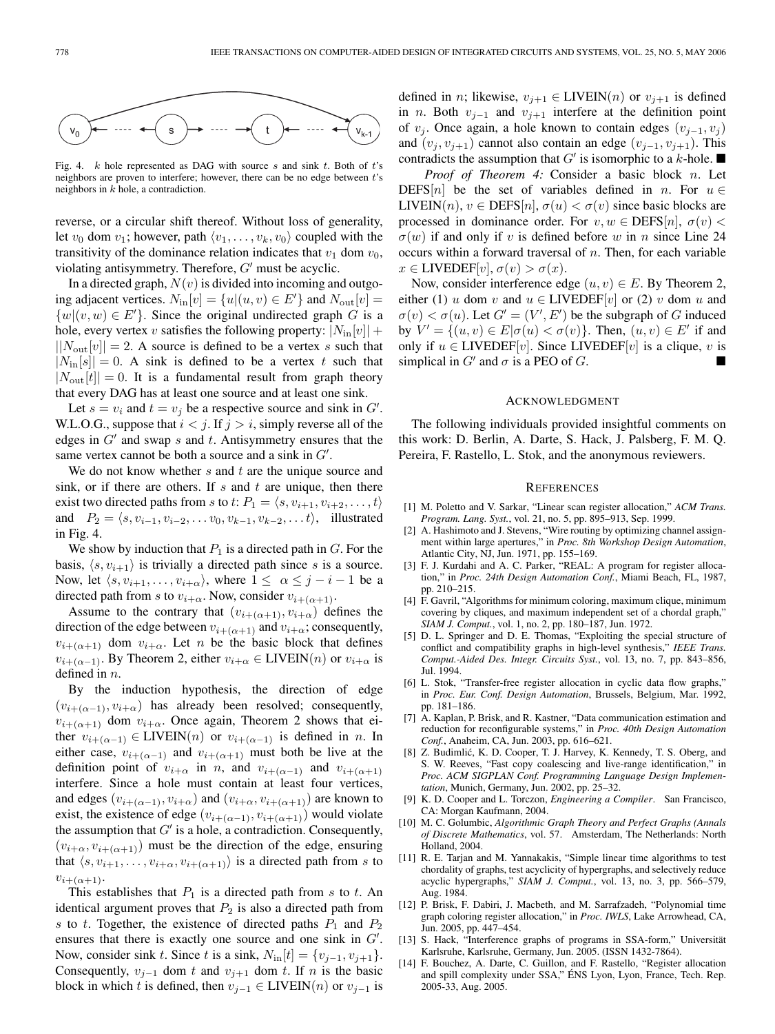

Fig. 4. *k* hole represented as DAG with source *s* and sink *t*. Both of *t*'s neighbors are proven to interfere; however, there can be no edge between *t*'s neighbors in *k* hole, a contradiction.

reverse, or a circular shift thereof. Without loss of generality, let  $v_0$  dom  $v_1$ ; however, path  $\langle v_1, \ldots, v_k, v_0 \rangle$  coupled with the transitivity of the dominance relation indicates that  $v_1$  dom  $v_0$ , violating antisymmetry. Therefore,  $G'$  must be acyclic.

In a directed graph,  $N(v)$  is divided into incoming and outgoing adjacent vertices.  $N_{\text{in}}[v] = \{u | (u, v) \in E' \}$  and  $N_{\text{out}}[v] =$ <br> $\{u | (u, w) \in E' \}$ . Since the original undirected graph  $G$  is a  $\{w | (v, w) \in E'\}$ . Since the original undirected graph G is a hole every vertex use attached following property:  $|N_{\text{eff}}|$ hole, every vertex v satisfies the following property:  $|N_{\text{in}}[v]|$  +  $||N_{\text{out}}[v]|| = 2$ . A source is defined to be a vertex s such that  $|N_{\text{in}}[s]| = 0$ . A sink is defined to be a vertex t such that  $|N_{\text{out}}[t]| = 0$ . It is a fundamental result from graph theory that every DAG has at least one source and at least one sink.

Let  $s = v_i$  and  $t = v_j$  be a respective source and sink in G'.<br>L O G suppose that  $i < i$  If  $i > i$  simply reverse all of the W.L.O.G., suppose that  $i < j$ . If  $j > i$ , simply reverse all of the edges in  $G'$  and swap s and t. Antisymmetry ensures that the same vertex cannot be both a source and a sink in  $G'$ .<br>We do not know whether s and t are the unique s

We do not know whether  $s$  and  $t$  are the unique source and sink, or if there are others. If  $s$  and  $t$  are unique, then there exist two directed paths from s to t:  $P_1 = \langle s, v_{i+1}, v_{i+2}, \ldots, t \rangle$ and  $P_2 = \langle s, v_{i-1}, v_{i-2}, \ldots v_0, v_{k-1}, v_{k-2}, \ldots t \rangle$ , illustrated in Fig. 4.

We show by induction that  $P_1$  is a directed path in  $G$ . For the basis,  $\langle s, v_{i+1} \rangle$  is trivially a directed path since s is a source. Now, let  $\langle s, v_{i+1}, \ldots, v_{i+\alpha} \rangle$ , where  $1 \leq \alpha \leq j-i-1$  be a directed path from s to  $v_{i+\alpha}$ . Now, consider  $v_{i+(\alpha+1)}$ .

Assume to the contrary that  $(v_{i+(\alpha+1)}, v_{i+\alpha})$  defines the direction of the edge between  $v_{i+(\alpha+1)}$  and  $v_{i+\alpha}$ ; consequently,  $v_{i+(\alpha+1)}$  dom  $v_{i+\alpha}$ . Let *n* be the basic block that defines  $v_{i+(\alpha-1)}$ . By Theorem 2, either  $v_{i+\alpha} \in \text{LIVEIN}(n)$  or  $v_{i+\alpha}$  is defined in  $n$ .

By the induction hypothesis, the direction of edge  $(v_{i+(\alpha-1)}, v_{i+\alpha})$  has already been resolved; consequently,  $v_{i+(\alpha+1)}$  dom  $v_{i+\alpha}$ . Once again, Theorem 2 shows that either  $v_{i+(\alpha-1)} \in LIVEN(n)$  or  $v_{i+(\alpha-1)}$  is defined in n. In either case,  $v_{i+(\alpha-1)}$  and  $v_{i+(\alpha+1)}$  must both be live at the definition point of  $v_{i+\alpha}$  in n, and  $v_{i+(\alpha-1)}$  and  $v_{i+(\alpha+1)}$ interfere. Since a hole must contain at least four vertices, and edges  $(v_{i+(\alpha-1)}, v_{i+\alpha})$  and  $(v_{i+\alpha}, v_{i+(\alpha+1)})$  are known to exist, the existence of edge  $(v_{i+(\alpha-1)}, v_{i+(\alpha+1)})$  would violate the assumption that  $G'$  is a hole, a contradiction. Consequently,  $(v_{i+\alpha}, v_{i+(\alpha+1)})$  must be the direction of the edge, ensuring that  $\langle s, v_{i+1},\ldots,v_{i+\alpha}, v_{i+(\alpha+1)}\rangle$  is a directed path from s to  $v_{i+(\alpha+1)}$ .

This establishes that  $P_1$  is a directed path from s to t. An identical argument proves that  $P_2$  is also a directed path from s to t. Together, the existence of directed paths  $P_1$  and  $P_2$ ensures that there is exactly one source and one sink in  $G'$ .<br>Now consider sink t Since t is a sink  $N_{t-1}$  of  $f(t) = f(t)$ , a  $f(t)$ Now, consider sink t. Since t is a sink,  $N_{\text{in}}[t] = \{v_{j-1}, v_{j+1}\}.$ Consequently,  $v_{i-1}$  dom t and  $v_{i+1}$  dom t. If n is the basic block in which t is defined, then  $v_{i-1} \in LIVEN(n)$  or  $v_{i-1}$  is defined in *n*; likewise,  $v_{j+1} \in LIVEIN(n)$  or  $v_{j+1}$  is defined in *n*. Both  $v_{j-1}$  and  $v_{j+1}$  interfere at the definition point of  $v_j$ . Once again, a hole known to contain edges  $(v_{j-1}, v_j)$ and  $(v_j, v_{j+1})$  cannot also contain an edge  $(v_{j-1}, v_{j+1})$ . This contradicts the assumption that  $G'$  is isomorphic to a k-hole.

*Proof of Theorem 4:* Consider a basic block n. Let DEFS[n] be the set of variables defined in n. For  $u \in$ LIVEIN(n),  $v \in \text{DEFS}[n]$ ,  $\sigma(u) < \sigma(v)$  since basic blocks are processed in dominance order. For  $v, w \in \text{DEFS}[n], \sigma(v)$  $\sigma(w)$  if and only if v is defined before w in n since Line 24 occurs within a forward traversal of  $n$ . Then, for each variable  $x \in$  LIVEDEF[v],  $\sigma(v) > \sigma(x)$ .

Now, consider interference edge  $(u, v) \in E$ . By Theorem 2, either (1) u dom v and  $u \in LIVEDEF[v]$  or (2) v dom u and  $\sigma(v) < \sigma(u)$ . Let  $G' = (V', E')$  be the subgraph of G induced<br>by  $V' = f(u, v) \in E[\sigma(u)] < \sigma(v)$ . Then  $(u, v) \in E'$  if and by  $V' = \{(u, v) \in E | \sigma(u) < \sigma(v)\}\)$ . Then,  $(u, v) \in E'$  if and only if  $u \in LIVEDEF[v]$ . Since LIVEDEF[v] is a clique, v is simplical in  $G'$  and  $\sigma$  is a PEO of G.

#### ACKNOWLEDGMENT

The following individuals provided insightful comments on this work: D. Berlin, A. Darte, S. Hack, J. Palsberg, F. M. Q. Pereira, F. Rastello, L. Stok, and the anonymous reviewers.

#### **REFERENCES**

- [1] M. Poletto and V. Sarkar, "Linear scan register allocation," *ACM Trans. Program. Lang. Syst.*, vol. 21, no. 5, pp. 895–913, Sep. 1999.
- [2] A. Hashimoto and J. Stevens, "Wire routing by optimizing channel assignment within large apertures," in *Proc. 8th Workshop Design Automation*, Atlantic City, NJ, Jun. 1971, pp. 155–169.
- [3] F. J. Kurdahi and A. C. Parker, "REAL: A program for register allocation," in *Proc. 24th Design Automation Conf.*, Miami Beach, FL, 1987, pp. 210–215.
- [4] F. Gavril, "Algorithms for minimum coloring, maximum clique, minimum covering by cliques, and maximum independent set of a chordal graph," *SIAM J. Comput.*, vol. 1, no. 2, pp. 180–187, Jun. 1972.
- [5] D. L. Springer and D. E. Thomas, "Exploiting the special structure of conflict and compatibility graphs in high-level synthesis," *IEEE Trans. Comput.-Aided Des. Integr. Circuits Syst.*, vol. 13, no. 7, pp. 843–856, Jul. 1994.
- [6] L. Stok, "Transfer-free register allocation in cyclic data flow graphs," in *Proc. Eur. Conf. Design Automation*, Brussels, Belgium, Mar. 1992, pp. 181–186.
- [7] A. Kaplan, P. Brisk, and R. Kastner, "Data communication estimation and reduction for reconfigurable systems," in *Proc. 40th Design Automation Conf.*, Anaheim, CA, Jun. 2003, pp. 616–621.
- [8] Z. Budimlić, K. D. Cooper, T. J. Harvey, K. Kennedy, T. S. Oberg, and S. W. Reeves, "Fast copy coalescing and live-range identification," in *Proc. ACM SIGPLAN Conf. Programming Language Design Implementation*, Munich, Germany, Jun. 2002, pp. 25–32.
- [9] K. D. Cooper and L. Torczon, *Engineering a Compiler*. San Francisco, CA: Morgan Kaufmann, 2004.
- [10] M. C. Golumbic, *Algorithmic Graph Theory and Perfect Graphs(Annals of Discrete Mathematics*, vol. 57. Amsterdam, The Netherlands: North Holland, 2004.
- [11] R. E. Tarjan and M. Yannakakis, "Simple linear time algorithms to test chordality of graphs, test acyclicity of hypergraphs, and selectively reduce acyclic hypergraphs," *SIAM J. Comput.*, vol. 13, no. 3, pp. 566–579, Aug. 1984.
- [12] P. Brisk, F. Dabiri, J. Macbeth, and M. Sarrafzadeh, "Polynomial time graph coloring register allocation," in *Proc. IWLS*, Lake Arrowhead, CA, Jun. 2005, pp. 447–454.
- [13] S. Hack, "Interference graphs of programs in SSA-form," Universität Karlsruhe, Karlsruhe, Germany, Jun. 2005. (ISSN 1432-7864).
- [14] F. Bouchez, A. Darte, C. Guillon, and F. Rastello, "Register allocation and spill complexity under SSA," ÉNS Lyon, Lyon, France, Tech. Rep. 2005-33, Aug. 2005.